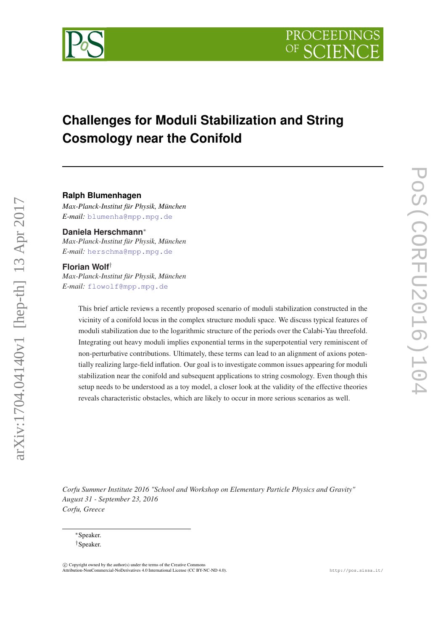

# **Challenges for Moduli Stabilization and String Cosmology near the Conifold**

## **Ralph Blumenhagen**

*Max-Planck-Institut für Physik, München E-mail:* [blumenha@mpp.mpg.de](mailto:blumenha@mpp.mpg.de)

**Daniela Herschmann**<sup>∗</sup>

*Max-Planck-Institut für Physik, München E-mail:* [herschma@mpp.mpg.de](mailto:herschma@mpp.mpg.de)

#### **Florian Wolf**†

arXiv:1704.04140v1 [hep-th] 13 Apr 2017

arXiv:1704.04140v1 [hep-th] 13 Apr 2017

*Max-Planck-Institut für Physik, München E-mail:* [flowolf@mpp.mpg.de](mailto:flowolf@mpp.mpg.de)

> This brief article reviews a recently proposed scenario of moduli stabilization constructed in the vicinity of a conifold locus in the complex structure moduli space. We discuss typical features of moduli stabilization due to the logarithmic structure of the periods over the Calabi-Yau threefold. Integrating out heavy moduli implies exponential terms in the superpotential very reminiscent of non-perturbative contributions. Ultimately, these terms can lead to an alignment of axions potentially realizing large-field inflation. Our goal is to investigate common issues appearing for moduli stabilization near the conifold and subsequent applications to string cosmology. Even though this setup needs to be understood as a toy model, a closer look at the validity of the effective theories reveals characteristic obstacles, which are likely to occur in more serious scenarios as well.

*Corfu Summer Institute 2016 "School and Workshop on Elementary Particle Physics and Gravity" August 31 - September 23, 2016 Corfu, Greece*

<sup>∗</sup>Speaker. †Speaker.

 $\overline{c}$  Copyright owned by the author(s) under the terms of the Creative Common Attribution-NonCommercial-NoDerivatives 4.0 International License (CC BY-NC-ND 4.0). http://pos.sissa.it/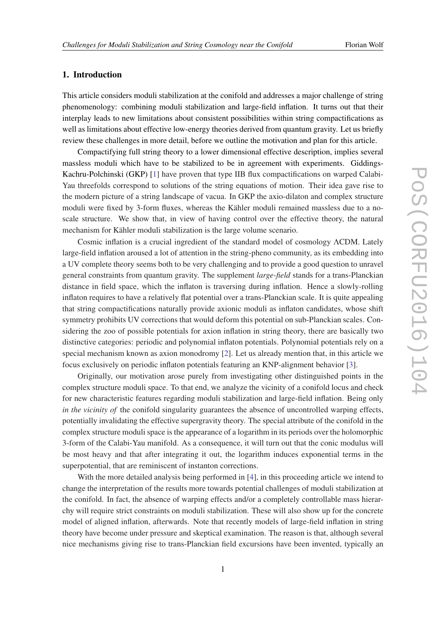# 1. Introduction

This article considers moduli stabilization at the conifold and addresses a major challenge of string phenomenology: combining moduli stabilization and large-field inflation. It turns out that their interplay leads to new limitations about consistent possibilities within string compactifications as well as limitations about effective low-energy theories derived from quantum gravity. Let us briefly review these challenges in more detail, before we outline the motivation and plan for this article.

Compactifying full string theory to a lower dimensional effective description, implies several massless moduli which have to be stabilized to be in agreement with experiments. Giddings-Kachru-Polchinski (GKP) [[1](#page-12-0)] have proven that type IIB flux compactifications on warped Calabi-Yau threefolds correspond to solutions of the string equations of motion. Their idea gave rise to the modern picture of a string landscape of vacua. In GKP the axio-dilaton and complex structure moduli were fixed by 3-form fluxes, whereas the Kähler moduli remained massless due to a noscale structure. We show that, in view of having control over the effective theory, the natural mechanism for Kähler moduli stabilization is the large volume scenario.

Cosmic inflation is a crucial ingredient of the standard model of cosmology ΛCDM. Lately large-field inflation aroused a lot of attention in the string-pheno community, as its embedding into a UV complete theory seems both to be very challenging and to provide a good question to unravel general constraints from quantum gravity. The supplement *large-field* stands for a trans-Planckian distance in field space, which the inflaton is traversing during inflation. Hence a slowly-rolling inflaton requires to have a relatively flat potential over a trans-Planckian scale. It is quite appealing that string compactifications naturally provide axionic moduli as inflaton candidates, whose shift symmetry prohibits UV corrections that would deform this potential on sub-Planckian scales. Considering the zoo of possible potentials for axion inflation in string theory, there are basically two distinctive categories: periodic and polynomial inflaton potentials. Polynomial potentials rely on a special mechanism known as axion monodromy [\[2\]](#page-12-0). Let us already mention that, in this article we focus exclusively on periodic inflaton potentials featuring an KNP-alignment behavior [\[3\]](#page-12-0).

Originally, our motivation arose purely from investigating other distinguished points in the complex structure moduli space. To that end, we analyze the vicinity of a conifold locus and check for new characteristic features regarding moduli stabilization and large-field inflation. Being only *in the vicinity of the conifold singularity guarantees the absence of uncontrolled warping effects,* potentially invalidating the effective supergravity theory. The special attribute of the conifold in the complex structure moduli space is the appearance of a logarithm in its periods over the holomorphic 3-form of the Calabi-Yau manifold. As a consequence, it will turn out that the conic modulus will be most heavy and that after integrating it out, the logarithm induces exponential terms in the superpotential, that are reminiscent of instanton corrections.

With the more detailed analysis being performed in [\[4\]](#page-12-0), in this proceeding article we intend to change the interpretation of the results more towards potential challenges of moduli stabilization at the conifold. In fact, the absence of warping effects and/or a completely controllable mass hierarchy will require strict constraints on moduli stabilization. These will also show up for the concrete model of aligned inflation, afterwards. Note that recently models of large-field inflation in string theory have become under pressure and skeptical examination. The reason is that, although several nice mechanisms giving rise to trans-Planckian field excursions have been invented, typically an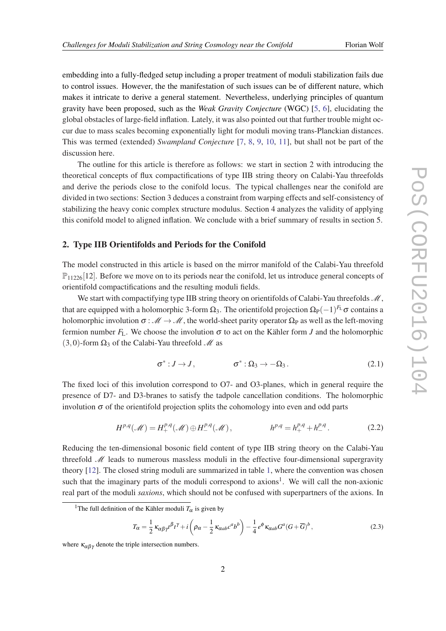embedding into a fully-fledged setup including a proper treatment of moduli stabilization fails due to control issues. However, the the manifestation of such issues can be of different nature, which makes it intricate to derive a general statement. Nevertheless, underlying principles of quantum gravity have been proposed, such as the *Weak Gravity Conjecture* (WGC) [\[5,](#page-12-0) [6\]](#page-12-0), elucidating the global obstacles of large-field inflation. Lately, it was also pointed out that further trouble might occur due to mass scales becoming exponentially light for moduli moving trans-Planckian distances. This was termed (extended) *Swampland Conjecture* [[7](#page-12-0), [8](#page-12-0), [9,](#page-12-0) [10,](#page-12-0) [11\]](#page-12-0), but shall not be part of the discussion here.

The outline for this article is therefore as follows: we start in section 2 with introducing the theoretical concepts of flux compactifications of type IIB string theory on Calabi-Yau threefolds and derive the periods close to the conifold locus. The typical challenges near the conifold are divided in two sections: Section 3 deduces a constraint from warping effects and self-consistency of stabilizing the heavy conic complex structure modulus. Section 4 analyzes the validity of applying this conifold model to aligned inflation. We conclude with a brief summary of results in section 5.

# 2. Type IIB Orientifolds and Periods for the Conifold

The model constructed in this article is based on the mirror manifold of the Calabi-Yau threefold  $\mathbb{P}_{11226}[12]$ . Before we move on to its periods near the conifold, let us introduce general concepts of orientifold compactifications and the resulting moduli fields.

We start with compactifying type IIB string theory on orientifolds of Calabi-Yau threefolds  $\mathcal{M}$ , that are equipped with a holomorphic 3-form  $\Omega_3$ . The orientifold projection  $\Omega_{\rm P}(-1)^{F_{\rm L}}\sigma$  contains a holomorphic involution  $\sigma : \mathcal{M} \to \mathcal{M}$ , the world-sheet parity operator  $\Omega_P$  as well as the left-moving fermion number  $F_L$ . We choose the involution  $\sigma$  to act on the Kähler form *J* and the holomorphic (3,0)-form  $\Omega_3$  of the Calabi-Yau threefold  $\mathcal M$  as

$$
\sigma^*: J \to J, \qquad \sigma^*: \Omega_3 \to -\Omega_3. \tag{2.1}
$$

The fixed loci of this involution correspond to O7- and O3-planes, which in general require the presence of D7- and D3-branes to satisfy the tadpole cancellation conditions. The holomorphic involution  $\sigma$  of the orientifold projection splits the cohomology into even and odd parts

$$
H^{p,q}(\mathcal{M}) = H^{p,q}_+(\mathcal{M}) \oplus H^{p,q}_-(\mathcal{M}), \qquad h^{p,q} = h^{p,q}_+ + h^{p,q}_-.
$$
 (2.2)

Reducing the ten-dimensional bosonic field content of type IIB string theory on the Calabi-Yau threefold  $M$  leads to numerous massless moduli in the effective four-dimensional supergravity theory [\[12](#page-12-0)]. The closed string moduli are summarized in table [1](#page-3-0), where the convention was chosen such that the imaginary parts of the moduli correspond to axions<sup>1</sup>. We will call the non-axionic real part of the moduli *saxions*, which should not be confused with superpartners of the axions. In

$$
T_{\alpha} = \frac{1}{2} \kappa_{\alpha\beta\gamma} t^{\beta} t^{\gamma} + i \left( \rho_{\alpha} - \frac{1}{2} \kappa_{\alpha ab} c^{a} b^{b} \right) - \frac{1}{4} e^{\phi} \kappa_{\alpha ab} G^{a} (G + \overline{G})^{b}, \qquad (2.3)
$$

<sup>&</sup>lt;sup>1</sup>The full definition of the Kähler moduli  $T_\alpha$  is given by

where  $\kappa_{\alpha\beta\gamma}$  denote the triple intersection numbers.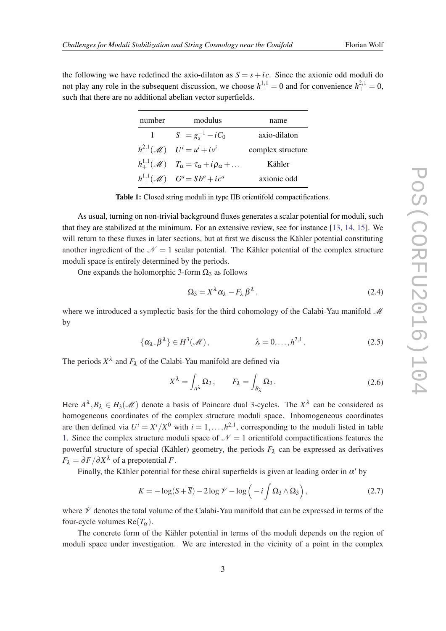<span id="page-3-0"></span>the following we have redefined the axio-dilaton as  $S = s + ic$ . Since the axionic odd moduli do not play any role in the subsequent discussion, we choose  $h_{-}^{1,1} = 0$  and for convenience  $h_{+}^{2,1} = 0$ , such that there are no additional abelian vector superfields.

| number    | modulus                                                                    | name              |
|-----------|----------------------------------------------------------------------------|-------------------|
| $1 \quad$ | $S = g_s^{-1} - iC_0$                                                      | axio-dilaton      |
|           | $h^{2,1}_-({\mathcal M})$ $U^i=u^i+iv^i$                                   | complex structure |
|           | $h^{1,1}_+(\mathscr{M})$ $T_\alpha = \tau_\alpha + i \rho_\alpha + \ldots$ | Kähler            |
|           | $h^{1,1}_-({\mathcal M})$ $G^a = Sb^a + ic^a$                              | axionic odd       |

Table 1: Closed string moduli in type IIB orientifold compactifications.

As usual, turning on non-trivial background fluxes generates a scalar potential for moduli, such that they are stabilized at the minimum. For an extensive review, see for instance [[13,](#page-12-0) [14](#page-12-0), [15\]](#page-12-0). We will return to these fluxes in later sections, but at first we discuss the Kähler potential constituting another ingredient of the  $N = 1$  scalar potential. The Kähler potential of the complex structure moduli space is entirely determined by the periods.

One expands the holomorphic 3-form  $\Omega_3$  as follows

$$
\Omega_3 = X^{\lambda} \alpha_{\lambda} - F_{\lambda} \beta^{\lambda} \,, \tag{2.4}
$$

where we introduced a symplectic basis for the third cohomology of the Calabi-Yau manifold  $\mathcal M$ by

$$
\{\alpha_{\lambda}, \beta^{\lambda}\} \in H^{3}(\mathcal{M}), \qquad \lambda = 0, \ldots, h^{2,1}.
$$
 (2.5)

The periods  $X^{\lambda}$  and  $F_{\lambda}$  of the Calabi-Yau manifold are defined via

$$
X^{\lambda} = \int_{A^{\lambda}} \Omega_3, \qquad F_{\lambda} = \int_{B_{\lambda}} \Omega_3. \tag{2.6}
$$

Here  $A^{\lambda}, B_{\lambda} \in H_3(\mathcal{M})$  denote a basis of Poincare dual 3-cycles. The  $X^{\lambda}$  can be considered as homogeneous coordinates of the complex structure moduli space. Inhomogeneous coordinates are then defined via  $U^i = X^i / X^0$  with  $i = 1, ..., h^{2,1}$ , corresponding to the moduli listed in table 1. Since the complex structure moduli space of  $\mathcal{N} = 1$  orientifold compactifications features the powerful structure of special (Kähler) geometry, the periods  $F_{\lambda}$  can be expressed as derivatives  $F_{\lambda} = \partial F / \partial X^{\lambda}$  of a prepotential *F*.

Finally, the Kähler potential for these chiral superfields is given at leading order in  $\alpha'$  by

$$
K = -\log(S + \overline{S}) - 2\log \mathcal{V} - \log\left(-i\int \Omega_3 \wedge \overline{\Omega}_3\right),\tag{2.7}
$$

where  $\mathcal V$  denotes the total volume of the Calabi-Yau manifold that can be expressed in terms of the four-cycle volumes  $Re(T_\alpha)$ .

The concrete form of the Kähler potential in terms of the moduli depends on the region of moduli space under investigation. We are interested in the vicinity of a point in the complex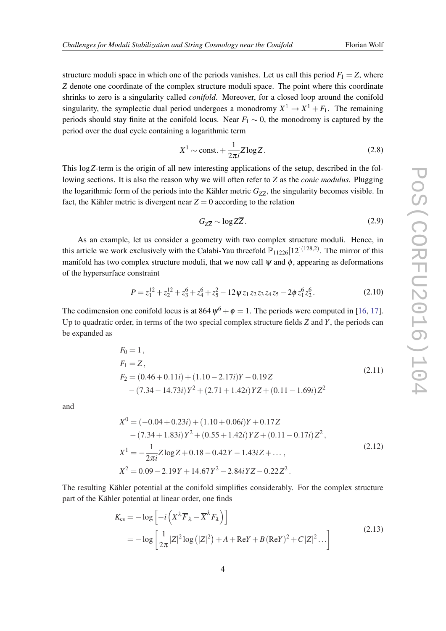<span id="page-4-0"></span>structure moduli space in which one of the periods vanishes. Let us call this period  $F_1 = Z$ , where *Z* denote one coordinate of the complex structure moduli space. The point where this coordinate shrinks to zero is a singularity called *conifold*. Moreover, for a closed loop around the conifold singularity, the symplectic dual period undergoes a monodromy  $X^1 \to X^1 + F_1$ . The remaining periods should stay finite at the conifold locus. Near  $F_1 \sim 0$ , the monodromy is captured by the period over the dual cycle containing a logarithmic term

$$
X^1 \sim \text{const.} + \frac{1}{2\pi i} Z \log Z. \tag{2.8}
$$

This log*Z*-term is the origin of all new interesting applications of the setup, described in the following sections. It is also the reason why we will often refer to *Z* as the *conic modulus*. Plugging the logarithmic form of the periods into the Kähler metric  $G_{Z\overline{Z}}$ , the singularity becomes visible. In fact, the Kähler metric is divergent near  $Z = 0$  according to the relation

$$
G_{Z\overline{Z}} \sim \log Z\overline{Z} \,. \tag{2.9}
$$

As an example, let us consider a geometry with two complex structure moduli. Hence, in this article we work exclusively with the Calabi-Yau threefold  $\mathbb{P}_{11226}[12]^{(128,2)}$ . The mirror of this manifold has two complex structure moduli, that we now call  $\psi$  and  $\phi$ , appearing as deformations of the hypersurface constraint

$$
P = z_1^{12} + z_2^{12} + z_3^6 + z_4^6 + z_5^2 - 12\psi z_1 z_2 z_3 z_4 z_5 - 2\phi z_1^6 z_2^6.
$$
 (2.10)

The codimension one conifold locus is at  $864 \psi^6 + \phi = 1$ . The periods were computed in [\[16](#page-12-0), [17\]](#page-13-0). Up to quadratic order, in terms of the two special complex structure fields *Z* and *Y*, the periods can be expanded as

$$
F_0 = 1,
$$
  
\n
$$
F_1 = Z,
$$
  
\n
$$
F_2 = (0.46 + 0.11i) + (1.10 - 2.17i)Y - 0.19Z
$$
  
\n
$$
- (7.34 - 14.73i)Y^2 + (2.71 + 1.42i)YZ + (0.11 - 1.69i)Z^2
$$
\n(2.11)

and

$$
X^{0} = (-0.04 + 0.23i) + (1.10 + 0.06i)Y + 0.17Z
$$
  
\n
$$
- (7.34 + 1.83i)Y^{2} + (0.55 + 1.42i)YZ + (0.11 - 0.17i)Z^{2},
$$
  
\n
$$
X^{1} = -\frac{1}{2\pi i}Z \log Z + 0.18 - 0.42Y - 1.43iZ + ...,
$$
  
\n
$$
X^{2} = 0.09 - 2.19Y + 14.67Y^{2} - 2.84iYZ - 0.22Z^{2}.
$$
\n(2.12)

The resulting Kähler potential at the conifold simplifies considerably. For the complex structure part of the Kähler potential at linear order, one finds

$$
K_{\text{cs}} = -\log\left[-i\left(X^{\lambda}\overline{F}_{\lambda} - \overline{X}^{\lambda}F_{\lambda}\right)\right]
$$
  
= 
$$
-\log\left[\frac{1}{2\pi}|Z|^2\log\left(|Z|^2\right) + A + \text{Re}Y + B(\text{Re}Y)^2 + C|Z|^2...\right]
$$
 (2.13)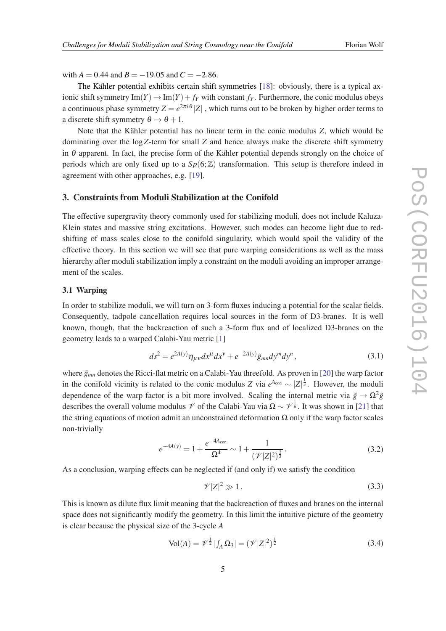<span id="page-5-0"></span>with  $A = 0.44$  and  $B = -19.05$  and  $C = -2.86$ .

The Kähler potential exhibits certain shift symmetries [[18\]](#page-13-0): obviously, there is a typical axionic shift symmetry  $\text{Im}(Y) \to \text{Im}(Y) + f_Y$  with constant  $f_Y$ . Furthermore, the conic modulus obeys a continuous phase symmetry  $Z = e^{2\pi i \theta} |Z|$ , which turns out to be broken by higher order terms to a discrete shift symmetry  $\theta \rightarrow \theta + 1$ .

Note that the Kähler potential has no linear term in the conic modulus *Z*, which would be dominating over the log*Z*-term for small *Z* and hence always make the discrete shift symmetry in  $\theta$  apparent. In fact, the precise form of the Kähler potential depends strongly on the choice of periods which are only fixed up to a  $Sp(6;\mathbb{Z})$  transformation. This setup is therefore indeed in agreement with other approaches, e.g. [\[19\]](#page-13-0).

#### 3. Constraints from Moduli Stabilization at the Conifold

The effective supergravity theory commonly used for stabilizing moduli, does not include Kaluza-Klein states and massive string excitations. However, such modes can become light due to redshifting of mass scales close to the conifold singularity, which would spoil the validity of the effective theory. In this section we will see that pure warping considerations as well as the mass hierarchy after moduli stabilization imply a constraint on the moduli avoiding an improper arrangement of the scales.

# 3.1 Warping

In order to stabilize moduli, we will turn on 3-form fluxes inducing a potential for the scalar fields. Consequently, tadpole cancellation requires local sources in the form of D3-branes. It is well known, though, that the backreaction of such a 3-form flux and of localized D3-branes on the geometry leads to a warped Calabi-Yau metric [\[1\]](#page-12-0)

$$
ds^{2} = e^{2A(y)} \eta_{\mu\nu} dx^{\mu} dx^{\nu} + e^{-2A(y)} \tilde{g}_{mn} dy^{m} dy^{n}, \qquad (3.1)
$$

where  $\tilde{g}_{mn}$  denotes the Ricci-flat metric on a Calabi-Yau threefold. As proven in [[20\]](#page-13-0) the warp factor in the conifold vicinity is related to the conic modulus *Z* via  $e^{A_{con}} \sim |Z|^{\frac{1}{3}}$ . However, the moduli dependence of the warp factor is a bit more involved. Scaling the internal metric via  $\tilde{g} \to \Omega^2 \tilde{g}$ describes the overall volume modulus  $\mathcal V$  of the Calabi-Yau via  $\Omega \sim \mathcal V^{\frac{1}{6}}$ . It was shown in [\[21](#page-13-0)] that the string equations of motion admit an unconstrained deformation  $\Omega$  only if the warp factor scales non-trivially

$$
e^{-4A(y)} = 1 + \frac{e^{-4A_{\text{con}}}}{\Omega^4} \sim 1 + \frac{1}{(\mathcal{V}|Z|^2)^{\frac{2}{3}}}.
$$
\n(3.2)

As a conclusion, warping effects can be neglected if (and only if) we satisfy the condition

$$
\mathscr{V}|Z|^2 \gg 1. \tag{3.3}
$$

This is known as dilute flux limit meaning that the backreaction of fluxes and branes on the internal space does not significantly modify the geometry. In this limit the intuitive picture of the geometry is clear because the physical size of the 3-cycle *A*

$$
Vol(A) = \mathcal{V}^{\frac{1}{2}} | \int_A \Omega_3 | = (\mathcal{V} |Z|^2)^{\frac{1}{2}}
$$
 (3.4)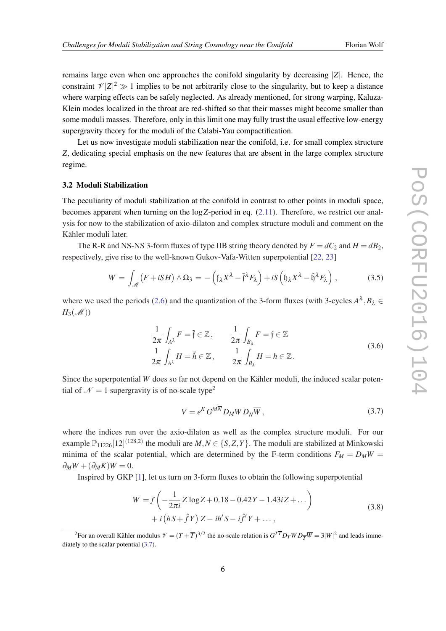<span id="page-6-0"></span>remains large even when one approaches the conifold singularity by decreasing |*Z*|. Hence, the constraint  $\mathcal{V}|Z|^2 \gg 1$  implies to be not arbitrarily close to the singularity, but to keep a distance where warping effects can be safely neglected. As already mentioned, for strong warping, Kaluza-Klein modes localized in the throat are red-shifted so that their masses might become smaller than some moduli masses. Therefore, only in this limit one may fully trust the usual effective low-energy supergravity theory for the moduli of the Calabi-Yau compactification.

Let us now investigate moduli stabilization near the conifold, i.e. for small complex structure *Z*, dedicating special emphasis on the new features that are absent in the large complex structure regime.

## 3.2 Moduli Stabilization

The peculiarity of moduli stabilization at the conifold in contrast to other points in moduli space, becomes apparent when turning on the log*Z*-period in eq. [\(2.11](#page-4-0)). Therefore, we restrict our analysis for now to the stabilization of axio-dilaton and complex structure moduli and comment on the Kähler moduli later.

The R-R and NS-NS 3-form fluxes of type IIB string theory denoted by  $F = dC_2$  and  $H = dB_2$ , respectively, give rise to the well-known Gukov-Vafa-Witten superpotential [\[22](#page-13-0), [23\]](#page-13-0)

$$
W = \int_{\mathcal{M}} \left( F + iSH \right) \wedge \Omega_3 = -\left( \mathfrak{f}_{\lambda} X^{\lambda} - \tilde{\mathfrak{f}}^{\lambda} F_{\lambda} \right) + iS \left( \mathfrak{h}_{\lambda} X^{\lambda} - \tilde{\mathfrak{h}}^{\lambda} F_{\lambda} \right), \tag{3.5}
$$

where we used the periods [\(2.6\)](#page-3-0) and the quantization of the 3-form fluxes (with 3-cycles  $A^{\lambda}$ ,  $B_{\lambda} \in$  $H_3(\mathcal{M}))$ 

$$
\frac{1}{2\pi} \int_{A^{\lambda}} F = \tilde{\mathfrak{f}} \in \mathbb{Z}, \qquad \frac{1}{2\pi} \int_{B_{\lambda}} F = \mathfrak{f} \in \mathbb{Z}
$$
\n
$$
\frac{1}{2\pi} \int_{A^{\lambda}} H = \tilde{h} \in \mathbb{Z}, \qquad \frac{1}{2\pi} \int_{B_{\lambda}} H = h \in \mathbb{Z}.
$$
\n(3.6)

Since the superpotential *W* does so far not depend on the Kähler moduli, the induced scalar potential of  $\mathcal{N} = 1$  supergravity is of no-scale type<sup>2</sup>

$$
V = e^K G^{M\overline{N}} D_M W D_{\overline{N}} \overline{W}, \qquad (3.7)
$$

where the indices run over the axio-dilaton as well as the complex structure moduli. For our example  $\mathbb{P}_{11226}[12]^{(128,2)}$  the moduli are  $M, N \in \{S, Z, Y\}$ . The moduli are stabilized at Minkowski minima of the scalar potential, which are determined by the F-term conditions  $F_M = D_M W =$  $\partial_M W + (\partial_M K)W = 0.$ 

Inspired by GKP [[1](#page-12-0)], let us turn on 3-form fluxes to obtain the following superpotential

$$
W = f\left(-\frac{1}{2\pi i}Z\log Z + 0.18 - 0.42Y - 1.43iZ + ...\right) + i\left(hS + \hat{f}Y\right)Z - ih'S - i\hat{f}'Y + ...,
$$
\n(3.8)

<sup>2</sup>For an overall Kähler modulus  $\mathcal{V} = (T + \overline{T})^{3/2}$  the no-scale relation is  $G^{T\overline{T}}D_{T}WD_{\overline{T}}\overline{W} = 3|W|^{2}$  and leads immediately to the scalar potential (3.7).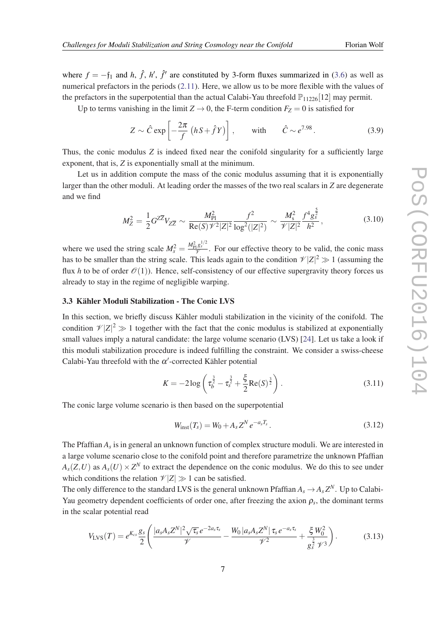<span id="page-7-0"></span>where  $f = -f_1$  and *h*,  $\hat{f}$ , *h*',  $\hat{f}'$  are constituted by 3-form fluxes summarized in ([3.6](#page-6-0)) as well as numerical prefactors in the periods [\(2.11](#page-4-0)). Here, we allow us to be more flexible with the values of the prefactors in the superpotential than the actual Calabi-Yau threefold  $\mathbb{P}_{11226}[12]$  may permit.

Up to terms vanishing in the limit  $Z \rightarrow 0$ , the F-term condition  $F_Z = 0$  is satisfied for

$$
Z \sim \hat{C} \exp\left[-\frac{2\pi}{f} \left(hS + \hat{f}Y\right)\right], \qquad \text{with} \qquad \hat{C} \sim e^{7.98}.
$$
 (3.9)

Thus, the conic modulus *Z* is indeed fixed near the conifold singularity for a sufficiently large exponent, that is, *Z* is exponentially small at the minimum.

Let us in addition compute the mass of the conic modulus assuming that it is exponentially larger than the other moduli. At leading order the masses of the two real scalars in *Z* are degenerate and we find

$$
M_Z^2 = \frac{1}{2} G^{Z\overline{Z}} V_{Z\overline{Z}} \sim \frac{M_{\text{Pl}}^2}{\text{Re}(S)\mathcal{V}^2 |Z|^2} \frac{f^2}{\log^2(|Z|^2)} \sim \frac{M_s^2}{\mathcal{V}|Z|^2} \frac{f^4 g_s^{\frac{1}{2}}}{h^2},\tag{3.10}
$$

5

where we used the string scale  $M_s^2 = \frac{M_{\rm Pl}^2 g_s^{1/2}}{\mathcal{V}}$ . For our effective theory to be valid, the conic mass has to be smaller than the string scale. This leads again to the condition  $\mathcal{V}|Z|^2 \gg 1$  (assuming the flux *h* to be of order  $\mathcal{O}(1)$ ). Hence, self-consistency of our effective supergravity theory forces us already to stay in the regime of negligible warping.

# 3.3 Kähler Moduli Stabilization - The Conic LVS

In this section, we briefly discuss Kähler moduli stabilization in the vicinity of the conifold. The condition  $\mathcal{V}|Z|^2 \gg 1$  together with the fact that the conic modulus is stabilized at exponentially small values imply a natural candidate: the large volume scenario (LVS) [[24](#page-13-0)]. Let us take a look if this moduli stabilization procedure is indeed fulfilling the constraint. We consider a swiss-cheese Calabi-Yau threefold with the  $\alpha'$ -corrected Kähler potential

$$
K = -2\log\left(\tau_b^{\frac{3}{2}} - \tau_s^{\frac{3}{2}} + \frac{\xi}{2}\text{Re}(S)^{\frac{3}{2}}\right). \tag{3.11}
$$

The conic large volume scenario is then based on the superpotential

$$
W_{\text{inst}}(T_s) = W_0 + A_s Z^N e^{-a_s T_s}.
$$
\n(3.12)

The Pfaffian *A<sup>s</sup>* is in general an unknown function of complex structure moduli. We are interested in a large volume scenario close to the conifold point and therefore parametrize the unknown Pfaffian  $A_s(Z, U)$  as  $A_s(U) \times Z^N$  to extract the dependence on the conic modulus. We do this to see under which conditions the relation  $\mathcal{V}(Z) \gg 1$  can be satisfied.

The only difference to the standard LVS is the general unknown Pfaffian  $A_s \to A_s Z^N$ . Up to Calabi-Yau geometry dependent coefficients of order one, after freezing the axion  $\rho_s$ , the dominant terms in the scalar potential read

$$
V_{LVS}(T) = e^{K_{cs}} \frac{g_s}{2} \left( \frac{|a_s A_s Z^N|^2 \sqrt{\tau_s} e^{-2a_s \tau_s}}{\mathcal{V}} - \frac{W_0 |a_s A_s Z^N| \tau_s e^{-a_s \tau_s}}{\mathcal{V}^2} + \frac{\xi W_0^2}{g_s^{\frac{3}{2}} \mathcal{V}^3} \right).
$$
(3.13)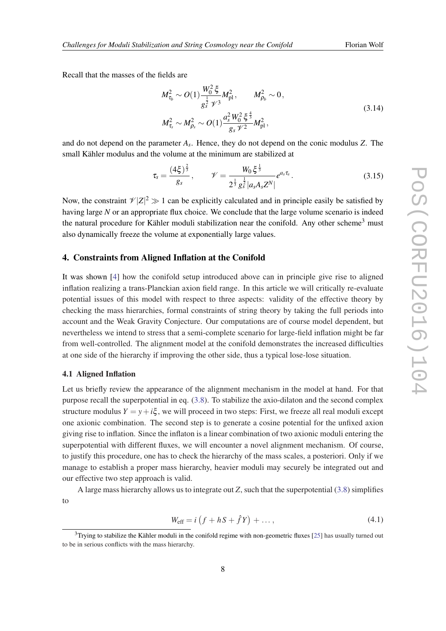<span id="page-8-0"></span>Recall that the masses of the fields are

$$
M_{\tau_b}^2 \sim O(1) \frac{W_0^2 \xi}{g_s^{\frac{1}{2}} \gamma'^3} M_{\text{pl}}^2, \qquad M_{\rho_b}^2 \sim 0,
$$
  

$$
M_{\tau_s}^2 \sim M_{\rho_s}^2 \sim O(1) \frac{a_s^2 W_0^2 \xi^{\frac{4}{3}}}{g_s \gamma'^2} M_{\text{pl}}^2,
$$
 (3.14)

and do not depend on the parameter *A<sup>s</sup>* . Hence, they do not depend on the conic modulus *Z*. The small Kähler modulus and the volume at the minimum are stabilized at

$$
\tau_s = \frac{(4\xi)^{\frac{2}{3}}}{g_s}, \qquad \mathscr{V} = \frac{W_0 \xi^{\frac{1}{3}}}{2^{\frac{1}{3}} g_s^{\frac{1}{2}} |a_s A_s Z^N|} e^{a_s \tau_s}.
$$
\n(3.15)

Now, the constraint  $\mathcal{V}|Z|^2 \gg 1$  can be explicitly calculated and in principle easily be satisfied by having large *N* or an appropriate flux choice. We conclude that the large volume scenario is indeed the natural procedure for Kähler moduli stabilization near the conifold. Any other scheme<sup>3</sup> must also dynamically freeze the volume at exponentially large values.

# 4. Constraints from Aligned Inflation at the Conifold

It was shown [[4](#page-12-0)] how the conifold setup introduced above can in principle give rise to aligned inflation realizing a trans-Planckian axion field range. In this article we will critically re-evaluate potential issues of this model with respect to three aspects: validity of the effective theory by checking the mass hierarchies, formal constraints of string theory by taking the full periods into account and the Weak Gravity Conjecture. Our computations are of course model dependent, but nevertheless we intend to stress that a semi-complete scenario for large-field inflation might be far from well-controlled. The alignment model at the conifold demonstrates the increased difficulties at one side of the hierarchy if improving the other side, thus a typical lose-lose situation.

### 4.1 Aligned Inflation

Let us briefly review the appearance of the alignment mechanism in the model at hand. For that purpose recall the superpotential in eq. [\(3.8\)](#page-6-0). To stabilize the axio-dilaton and the second complex structure modulus  $Y = y + i\xi$ , we will proceed in two steps: First, we freeze all real moduli except one axionic combination. The second step is to generate a cosine potential for the unfixed axion giving rise to inflation. Since the inflaton is a linear combination of two axionic moduli entering the superpotential with different fluxes, we will encounter a novel alignment mechanism. Of course, to justify this procedure, one has to check the hierarchy of the mass scales, a posteriori. Only if we manage to establish a proper mass hierarchy, heavier moduli may securely be integrated out and our effective two step approach is valid.

A large mass hierarchy allows us to integrate out *Z*, such that the superpotential [\(3.8\)](#page-6-0) simplifies to

$$
W_{\text{eff}} = i \left( f + hS + \hat{f}Y \right) + \dots, \tag{4.1}
$$

 $3$ Trying to stabilize the Kähler moduli in the conifold regime with non-geometric fluxes [[25\]](#page-13-0) has usually turned out to be in serious conflicts with the mass hierarchy.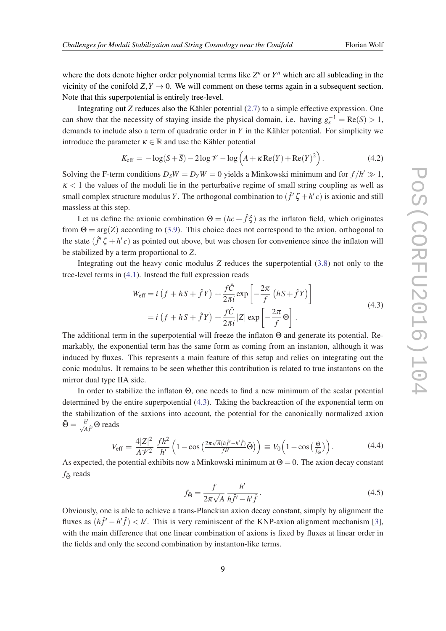<span id="page-9-0"></span>where the dots denote higher order polynomial terms like  $Z^n$  or  $Y^n$  which are all subleading in the vicinity of the conifold  $Z, Y \rightarrow 0$ . We will comment on these terms again in a subsequent section. Note that this superpotential is entirely tree-level.

Integrating out *Z* reduces also the Kähler potential ([2.7\)](#page-3-0) to a simple effective expression. One can show that the necessity of staying inside the physical domain, i.e. having  $g_s^{-1} = \text{Re}(S) > 1$ , demands to include also a term of quadratic order in *Y* in the Kähler potential. For simplicity we introduce the parameter  $\kappa \in \mathbb{R}$  and use the Kähler potential

$$
K_{\text{eff}} = -\log(S + \overline{S}) - 2\log \mathcal{V} - \log \left( A + \kappa \operatorname{Re}(Y) + \operatorname{Re}(Y)^2 \right). \tag{4.2}
$$

Solving the F-term conditions  $D_S W = D_Y W = 0$  yields a Minkowski minimum and for  $f/h' \gg 1$ ,  $\kappa$  < 1 the values of the moduli lie in the perturbative regime of small string coupling as well as small complex structure modulus *Y*. The orthogonal combination to  $(\hat{f}' \zeta + h'c)$  is axionic and still massless at this step.

Let us define the axionic combination  $\Theta = (hc + \hat{f}\xi)$  as the inflaton field, which originates from  $\Theta = \arg(Z)$  according to [\(3.9\)](#page-7-0). This choice does not correspond to the axion, orthogonal to the state  $(\hat{f}' \zeta + h' c)$  as pointed out above, but was chosen for convenience since the inflaton will be stabilized by a term proportional to *Z*.

Integrating out the heavy conic modulus *Z* reduces the superpotential ([3.8](#page-6-0)) not only to the tree-level terms in ([4.1](#page-8-0)). Instead the full expression reads

$$
W_{\text{eff}} = i \left( f + hS + \hat{f}Y \right) + \frac{f\hat{C}}{2\pi i} \exp \left[ -\frac{2\pi}{f} \left( hS + \hat{f}Y \right) \right]
$$
  
=  $i \left( f + hS + \hat{f}Y \right) + \frac{f\hat{C}}{2\pi i} |Z| \exp \left[ -\frac{2\pi}{f} \Theta \right].$  (4.3)

The additional term in the superpotential will freeze the inflaton Θ and generate its potential. Remarkably, the exponential term has the same form as coming from an instanton, although it was induced by fluxes. This represents a main feature of this setup and relies on integrating out the conic modulus. It remains to be seen whether this contribution is related to true instantons on the mirror dual type IIA side.

In order to stabilize the inflaton Θ, one needs to find a new minimum of the scalar potential determined by the entire superpotential (4.3). Taking the backreaction of the exponential term on the stabilization of the saxions into account, the potential for the canonically normalized axion  $\tilde{\Theta} = \frac{h'}{\sqrt{A}\hat{f}'}\Theta$  reads

$$
V_{\text{eff}} = \frac{4|Z|^2}{A\mathcal{V}^2} \frac{fh^2}{h'} \left(1 - \cos\left(\frac{2\pi\sqrt{A}(hf' - h'\hat{f})}{fh'}\tilde{\Theta}\right)\right) \equiv V_0 \left(1 - \cos\left(\frac{\tilde{\Theta}}{f_{\tilde{\Theta}}}\right)\right). \tag{4.4}
$$

As expected, the potential exhibits now a Minkowski minimum at  $\Theta = 0$ . The axion decay constant *f*Θ reads

$$
f_{\tilde{\Theta}} = \frac{f}{2\pi\sqrt{A}} \frac{h'}{h\hat{f}' - h'\hat{f}}.
$$
\n(4.5)

Obviously, one is able to achieve a trans-Planckian axion decay constant, simply by alignment the fluxes as  $(h\hat{f}' - h'\hat{f}) < h'$ . This is very reminiscent of the KNP-axion alignment mechanism [\[3\]](#page-12-0), with the main difference that one linear combination of axions is fixed by fluxes at linear order in the fields and only the second combination by instanton-like terms.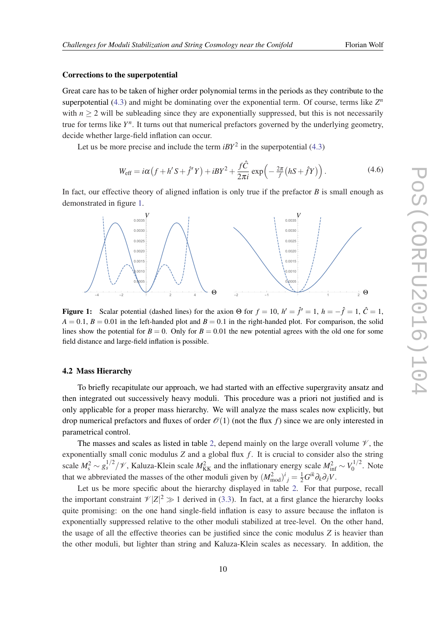#### Corrections to the superpotential

Great care has to be taken of higher order polynomial terms in the periods as they contribute to the superpotential ([4.3](#page-9-0)) and might be dominating over the exponential term. Of course, terms like  $Z<sup>n</sup>$ with  $n \geq 2$  will be subleading since they are exponentially suppressed, but this is not necessarily true for terms like  $Y^n$ . It turns out that numerical prefactors governed by the underlying geometry, decide whether large-field inflation can occur.

Let us be more precise and include the term  $iBY^2$  in the superpotential ([4.3](#page-9-0))

$$
W_{\text{eff}} = i\alpha \left( f + h' S + \hat{f}' Y \right) + iB Y^2 + \frac{f \hat{C}}{2\pi i} \exp \left( -\frac{2\pi}{f} \left( h S + \hat{f} Y \right) \right). \tag{4.6}
$$

In fact, our effective theory of aligned inflation is only true if the prefactor *B* is small enough as demonstrated in figure 1.



Figure 1: Scalar potential (dashed lines) for the axion  $\Theta$  for  $f = 10$ ,  $h' = \hat{f}' = 1$ ,  $h = -\hat{f} = 1$ ,  $\hat{C} = 1$ ,  $A = 0.1$ ,  $B = 0.01$  in the left-handed plot and  $B = 0.1$  in the right-handed plot. For comparison, the solid lines show the potential for  $B = 0$ . Only for  $B = 0.01$  the new potential agrees with the old one for some field distance and large-field inflation is possible.

#### 4.2 Mass Hierarchy

To briefly recapitulate our approach, we had started with an effective supergravity ansatz and then integrated out successively heavy moduli. This procedure was a priori not justified and is only applicable for a proper mass hierarchy. We will analyze the mass scales now explicitly, but drop numerical prefactors and fluxes of order  $\mathcal{O}(1)$  (not the flux f) since we are only interested in parametrical control.

The masses and scales as listed in table [2,](#page-11-0) depend mainly on the large overall volume  $\mathcal V$ , the exponentially small conic modulus  $Z$  and a global flux  $f$ . It is crucial to consider also the string scale  $M_s^2 \sim g_s^{1/2}/\mathscr{V}$ , Kaluza-Klein scale  $M_{\text{KK}}^2$  and the inflationary energy scale  $M_{\text{inf}}^2 \sim V_0^{1/2}$  $\int_0^{1/2}$ . Note that we abbreviated the masses of the other moduli given by  $(M_{\text{mod}}^2)^i{}_j = \frac{1}{2} G^{ik} \partial_k \partial_j V$ .

Let us be more specific about the hierarchy displayed in table [2.](#page-11-0) For that purpose, recall the important constraint  $\mathcal{V}|Z|^2 \gg 1$  derived in [\(3.3](#page-5-0)). In fact, at a first glance the hierarchy looks quite promising: on the one hand single-field inflation is easy to assure because the inflaton is exponentially suppressed relative to the other moduli stabilized at tree-level. On the other hand, the usage of all the effective theories can be justified since the conic modulus *Z* is heavier than the other moduli, but lighter than string and Kaluza-Klein scales as necessary. In addition, the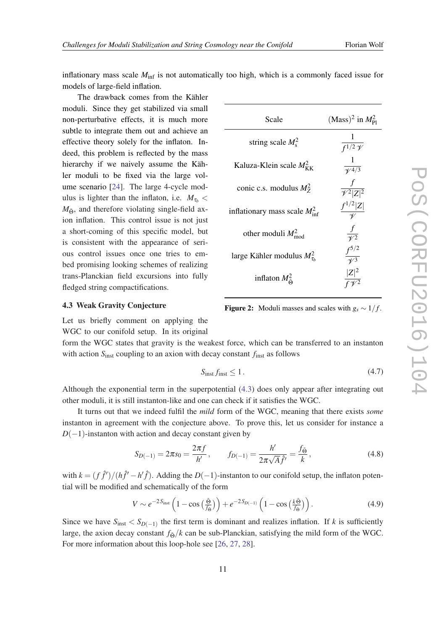<span id="page-11-0"></span>inflationary mass scale  $M<sub>inf</sub>$  is not automatically too high, which is a commonly faced issue for models of large-field inflation.

The drawback comes from the Kähler moduli. Since they get stabilized via small non-perturbative effects, it is much more subtle to integrate them out and achieve an effective theory solely for the inflaton. Indeed, this problem is reflected by the mass hierarchy if we naively assume the Kähler moduli to be fixed via the large volume scenario [[24](#page-13-0)]. The large 4-cycle modulus is lighter than the inflaton, i.e.  $M_{\tau_b}$  <  $M_{\tilde{\Theta}}$ , and therefore violating single-field axion inflation. This control issue is not just a short-coming of this specific model, but is consistent with the appearance of serious control issues once one tries to embed promising looking schemes of realizing trans-Planckian field excursions into fully fledged string compactifications.

| Scale                                      | $(Mass)^2$ in $M_{\text{Pl}}^2$     |
|--------------------------------------------|-------------------------------------|
| string scale $M_s^2$                       | $\frac{1}{\int 1/2 \, \mathcal{V}}$ |
| Kaluza-Klein scale $M_{\rm KK}^2$          | $\frac{1}{\sqrt[4]{4/3}}$           |
| conic c.s. modulus $M_7^2$                 | $\frac{f}{\mathcal{V}^2 Z ^2}$      |
| inflationary mass scale $M_{\text{inf}}^2$ | $\frac{f^{1/2} Z }{\mathcal{U}}$    |
| other moduli $M_{\text{mod}}^2$            | $rac{f}{\mathcal{V}^2}$             |
| large Kähler modulus $M_{\tau_h}^2$        | $\frac{f^{5/2}}{\sqrt{3}}$          |
| inflaton $M^2_{\tilde{\Theta}}$            | $\frac{ Z ^2}{f \sqrt{2}}$          |

**Figure 2:** Moduli masses and scales with  $g_s \sim 1/f$ .

#### 4.3 Weak Gravity Conjecture

Let us briefly comment on applying the WGC to our conifold setup. In its original

form the WGC states that gravity is the weakest force, which can be transferred to an instanton with action *S*inst coupling to an axion with decay constant *f*inst as follows

$$
S_{\text{inst}} f_{\text{inst}} \le 1. \tag{4.7}
$$

Although the exponential term in the superpotential [\(4.3](#page-9-0)) does only appear after integrating out other moduli, it is still instanton-like and one can check if it satisfies the WGC.

It turns out that we indeed fulfil the *mild* form of the WGC, meaning that there exists *some* instanton in agreement with the conjecture above. To prove this, let us consider for instance a  $D(-1)$ -instanton with action and decay constant given by

$$
S_{D(-1)} = 2\pi s_0 = \frac{2\pi f}{h'}, \qquad f_{D(-1)} = \frac{h'}{2\pi\sqrt{A}\hat{f}'} = \frac{f_{\tilde{\Theta}}}{k},\tag{4.8}
$$

with  $k = (f \hat{f}')/(h \hat{f}' - h' \hat{f})$ . Adding the *D*(-1)-instanton to our conifold setup, the inflaton potential will be modified and schematically of the form

$$
V \sim e^{-2S_{\text{inst}}} \left( 1 - \cos\left(\frac{\tilde{\Theta}}{f_{\tilde{\Theta}}} \right) \right) + e^{-2S_{D(-1)}} \left( 1 - \cos\left(\frac{k\tilde{\Theta}}{f_{\tilde{\Theta}}} \right) \right). \tag{4.9}
$$

Since we have  $S_{\text{inst}} < S_{D(-1)}$  the first term is dominant and realizes inflation. If k is sufficiently large, the axion decay constant  $f_{\alpha}/k$  can be sub-Planckian, satisfying the mild form of the WGC. For more information about this loop-hole see [[26,](#page-13-0) [27](#page-13-0), [28](#page-13-0)].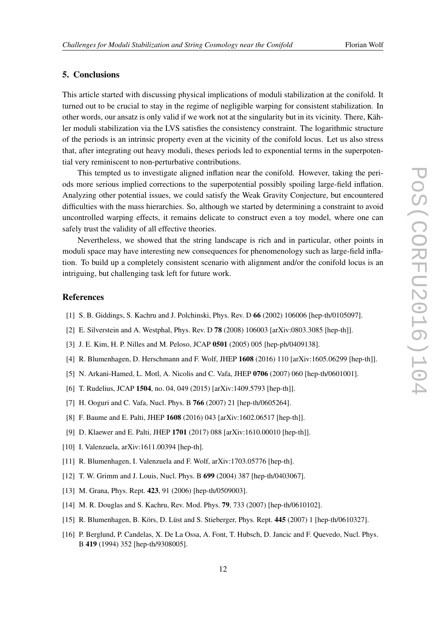# <span id="page-12-0"></span>5. Conclusions

This article started with discussing physical implications of moduli stabilization at the conifold. It turned out to be crucial to stay in the regime of negligible warping for consistent stabilization. In other words, our ansatz is only valid if we work not at the singularity but in its vicinity. There, Kähler moduli stabilization via the LVS satisfies the consistency constraint. The logarithmic structure of the periods is an intrinsic property even at the vicinity of the conifold locus. Let us also stress that, after integrating out heavy moduli, theses periods led to exponential terms in the superpotential very reminiscent to non-perturbative contributions.

This tempted us to investigate aligned inflation near the conifold. However, taking the periods more serious implied corrections to the superpotential possibly spoiling large-field inflation. Analyzing other potential issues, we could satisfy the Weak Gravity Conjecture, but encountered difficulties with the mass hierarchies. So, although we started by determining a constraint to avoid uncontrolled warping effects, it remains delicate to construct even a toy model, where one can safely trust the validity of all effective theories.

Nevertheless, we showed that the string landscape is rich and in particular, other points in moduli space may have interesting new consequences for phenomenology such as large-field inflation. To build up a completely consistent scenario with alignment and/or the conifold locus is an intriguing, but challenging task left for future work.

#### References

- [1] S. B. Giddings, S. Kachru and J. Polchinski, Phys. Rev. D 66 (2002) 106006 [hep-th/0105097].
- [2] E. Silverstein and A. Westphal, Phys. Rev. D 78 (2008) 106003 [arXiv:0803.3085 [hep-th]].
- [3] J. E. Kim, H. P. Nilles and M. Peloso, JCAP 0501 (2005) 005 [hep-ph/0409138].
- [4] R. Blumenhagen, D. Herschmann and F. Wolf, JHEP 1608 (2016) 110 [arXiv:1605.06299 [hep-th]].
- [5] N. Arkani-Hamed, L. Motl, A. Nicolis and C. Vafa, JHEP 0706 (2007) 060 [hep-th/0601001].
- [6] T. Rudelius, JCAP 1504, no. 04, 049 (2015) [arXiv:1409.5793 [hep-th]].
- [7] H. Ooguri and C. Vafa, Nucl. Phys. B 766 (2007) 21 [hep-th/0605264].
- [8] F. Baume and E. Palti, JHEP 1608 (2016) 043 [arXiv:1602.06517 [hep-th]].
- [9] D. Klaewer and E. Palti, JHEP 1701 (2017) 088 [arXiv:1610.00010 [hep-th]].
- [10] I. Valenzuela, arXiv:1611.00394 [hep-th].
- [11] R. Blumenhagen, I. Valenzuela and F. Wolf, arXiv:1703.05776 [hep-th].
- [12] T. W. Grimm and J. Louis, Nucl. Phys. B 699 (2004) 387 [hep-th/0403067].
- [13] M. Grana, Phys. Rept. 423, 91 (2006) [hep-th/0509003].
- [14] M. R. Douglas and S. Kachru, Rev. Mod. Phys. **79**, 733 (2007) [hep-th/0610102].
- [15] R. Blumenhagen, B. Körs, D. Lüst and S. Stieberger, Phys. Rept. 445 (2007) 1 [hep-th/0610327].
- [16] P. Berglund, P. Candelas, X. De La Ossa, A. Font, T. Hubsch, D. Jancic and F. Quevedo, Nucl. Phys. B 419 (1994) 352 [hep-th/9308005].